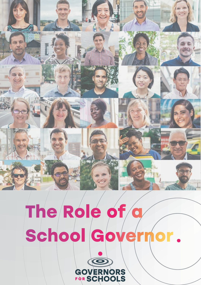# **The Role of a School Governor .**

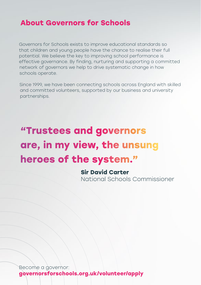### **About Governors for Schools**

Governors for Schools exists to improve educational standards so that children and young people have the chance to realise their full potential. We believe the key to improving school performance is effective governance. By finding, nurturing and supporting a committed network of governors we help to drive systematic change in how schools operate.

Since 1999, we have been connecting schools across England with skilled and committed volunteers, supported by our business and university partnerships.

# **"Trustees and governors are, in my view, the unsung heroes of the system."**

**Sir David Carter** National Schools Commissioner

Become a governor: **governorsforschools.org.uk/volunteer/apply**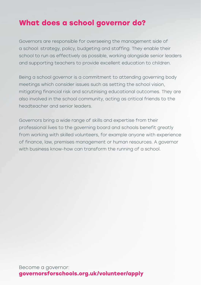## **What does a school governor do?**

Governors are responsible for overseeing the management side of a school: strategy, policy, budgeting and staffing. They enable their school to run as effectively as possible, working alongside senior leaders and supporting teachers to provide excellent education to children.

Being a school governor is a commitment to attending governing body meetings which consider issues such as setting the school vision, mitigating financial risk and scrutinising educational outcomes. They are also involved in the school community, acting as critical friends to the headteacher and senior leaders.

Governors bring a wide range of skills and expertise from their professional lives to the governing board and schools benefit greatly from working with skilled volunteers, for example anyone with experience of finance, law, premises management or human resources. A governor with business know-how can transform the running of a school.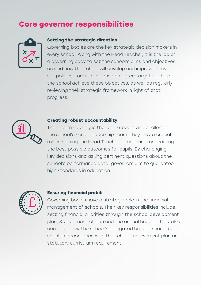## **Core governor responsibilities**



#### **Setting the strategic direction**

Governing bodies are the key strategic decision makers in every school. Along with the Head Teacher, it is the job of a governing body to set the school's aims and objectives around how the school will develop and improve. They set policies, formulate plans and agree targets to help the school achieve these objectives, as well as regularly reviewing their strategic framework in light of that progress.



#### **Creating robust accountability**

The governing body is there to support and challenge the school's senior leadership team. They play a crucial role in holding the Head Teacher to account for securing the best possible outcomes for pupils. By challenging key decisions and asking pertinent questions about the school's performance data, governors aim to guarantee high standards in education.



#### **Ensuring financial probit**

Governing bodies have a strategic role in the financial management of schools. Their key responsibilities include, setting financial priorities through the school development plan, 3 year financial plan and the annual budget. They also decide on how the school's delegated budget should be spent in accordance with the school improvement plan and statutory curriculum requirement.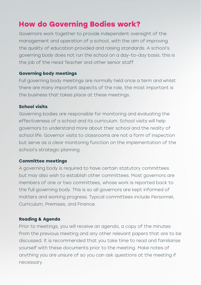## **How do Governing Bodies work?**

Governors work together to provide independent oversight of the management and operation of a school, with the aim of improving the quality of education provided and raising standards. A school's governing body does not run the school on a day-to-day basis; this is the job of the Head Teacher and other senior staff.

#### **Governing body meetings**

Full governing body meetings are normally held once a term and whilst there are many important aspects of the role, the most important is the business that takes place at these meetings.

#### **School visits**

Governing bodies are responsible for monitoring and evaluating the effectiveness of a school and its curriculum. School visits will help governors to understand more about their school and the reality of school life. Governor visits to classrooms are not a form of inspection but serve as a clear monitoring function on the implementation of the school's strategic planning.

#### **Committee meetings**

A governing body is required to have certain statutory committees but may also wish to establish other committees. Most governors are members of one or two committees, whose work is reported back to the full governing body. This is so all governors are kept informed of matters and working progress. Typical committees include Personnel, Curriculum, Premises, and Finance.

#### **Reading & Agenda**

Prior to meetings, you will receive an agenda, a copy of the minutes from the previous meeting and any other relevant papers that are to be discussed. It is recommended that you take time to read and familiarise yourself with these documents prior to the meeting. Make notes of anything you are unsure of so you can ask questions at the meeting if necessary.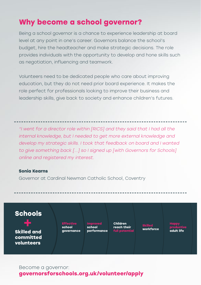## **Why become a school governor?**

Being a school governor is a chance to experience leadership at board level at any point in one's career. Governors balance the school's budget, hire the headteacher and make strategic decisions. The role provides individuals with the opportunity to develop and hone skills such as negotiation, influencing and teamwork.

Volunteers need to be dedicated people who care about improving education, but they do not need prior board experience. It makes the role perfect for professionals looking to improve their business and leadership skills, give back to society and enhance children's futures.

"I went for a director role within [RICS] and they said that I had all the internal knowledge, but I needed to get more external knowledge and develop my strategic skills. I took that feedback on board and I wanted to give something back [...] so I signed up [with Governors for Schools] online and registered my interest.

#### **Sonia Kearns**

Governor at Cardinal Newman Catholic School, Coventry



Become a governor: **governorsforschools.org.uk/volunteer/apply**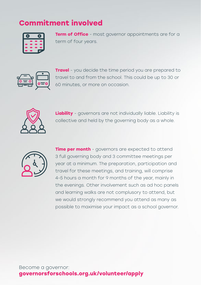## **Commitment involved**



**Term of Office** - most governor appointments are for a term of four years.



**Travel** - you decide the time period you are prepared to travel to and from the school. This could be up to 30 or 60 minutes, or more on occasion.



**Liability** - governors are not individually liable. Liability is collective and held by the governing body as a whole.



**Time per month** - governors are expected to attend 3 full governing body and 3 committee meetings per year at a minimum. The preparation, participation and travel for these meetings, and training, will comprise 4-5 hours a month for 9 months of the year, mainly in the evenings. Other involvement such as ad hoc panels and learning walks are not complusory to attend, but we would strongly recommend you attend as many as possible to maximise your impact as a school governor.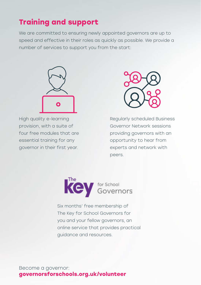## **Training and support**

We are committed to ensuring newly appointed governors are up to speed and effective in their roles as quickly as possible. We provide a number of services to support you from the start:



High quality e-learning provision, with a suite of four free modules that are essential training for any governor in their first year.



Regularly scheduled Business Governor Network sessions providing governors with an opportunity to hear from experts and network with peers.



Six months' free membership of The Key for School Governors for you and your fellow governors, an online service that provides practical guidance and resources.

Become a governor: **governorsforschools.org.uk/volunteer**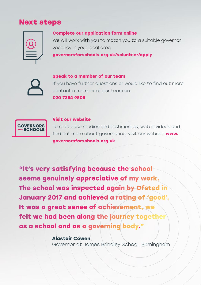## **Next steps**

#### **Complete our application form online**

We will work with you to match you to a suitable governor vacancy in your local area.

**governorsforschools.org.uk/volunteer/apply**

**Speak to a member of our team**

If you have further questions or would like to find out more contact a member of our team on **020 7354 9805**



#### **Visit our website**

To read case studies and testimonials, watch videos and find out more about governance, visit our website **www. governorsforschools.org.uk**

**"It's very satisfying because the school seems genuinely appreciative of my work. The school was inspected again by Ofsted in January 2017 and achieved a rating of 'good'. It was a great sense of achievement, we felt we had been along the journey together as a school and as a governing body."**

> **Alastair Cowen** Governor at James Brindley School, Birmingham